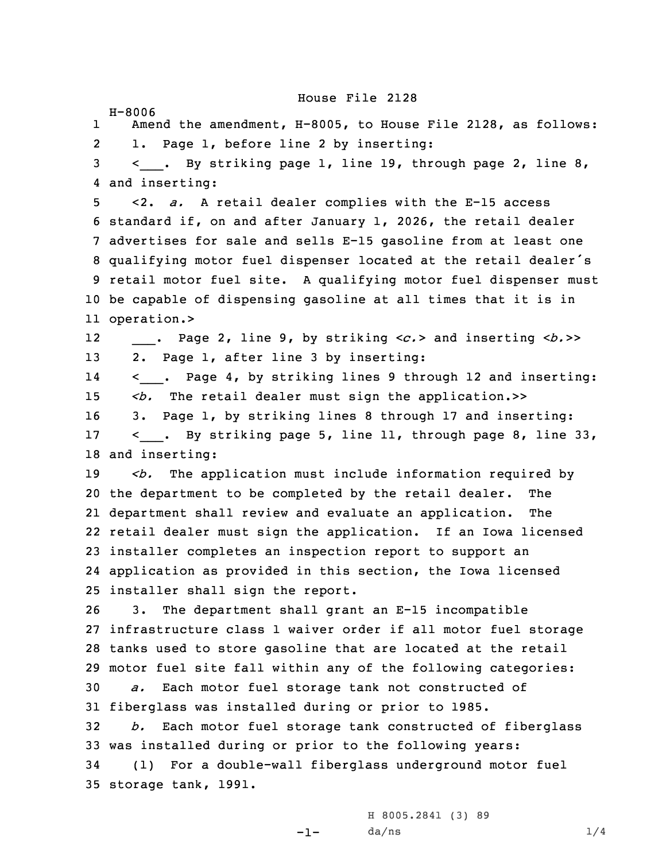House File 2128

H-8006 1 Amend the amendment, H-8005, to House File 2128, as follows: 2 1. Page 1, before line 2 by inserting: 3 < . By striking page 1, line 19, through page 2, line 8, and inserting: <2. *a.* <sup>A</sup> retail dealer complies with the E-15 access standard if, on and after January 1, 2026, the retail dealer advertises for sale and sells E-15 gasoline from at least one qualifying motor fuel dispenser located at the retail dealer's retail motor fuel site. <sup>A</sup> qualifying motor fuel dispenser must be capable of dispensing gasoline at all times that it is in operation.> 12\_\_\_. Page 2, line 9, by striking <sup>&</sup>lt;*c.*<sup>&</sup>gt; and inserting <sup>&</sup>lt;*b.*>> 2. Page 1, after line 3 by inserting: 14 <\_\_\_. Page 4, by striking lines <sup>9</sup> through <sup>12</sup> and inserting: 15 <br />  $\leq b$ . The retail dealer must sign the application.>> 3. Page 1, by striking lines 8 through 17 and inserting: 17 < \_\_\_. By striking page 5, line 11, through page 8, line 33, and inserting: *<b.* The application must include information required by the department to be completed by the retail dealer. The department shall review and evaluate an application. The retail dealer must sign the application. If an Iowa licensed installer completes an inspection report to support an application as provided in this section, the Iowa licensed installer shall sign the report. 3. The department shall grant an E-15 incompatible infrastructure class 1 waiver order if all motor fuel storage tanks used to store gasoline that are located at the retail motor fuel site fall within any of the following categories: *a.* Each motor fuel storage tank not constructed of fiberglass was installed during or prior to 1985. *b.* Each motor fuel storage tank constructed of fiberglass was installed during or prior to the following years: (1) For <sup>a</sup> double-wall fiberglass underground motor fuel storage tank, 1991.

-1-

H 8005.2841 (3) 89  $da/ns$   $1/4$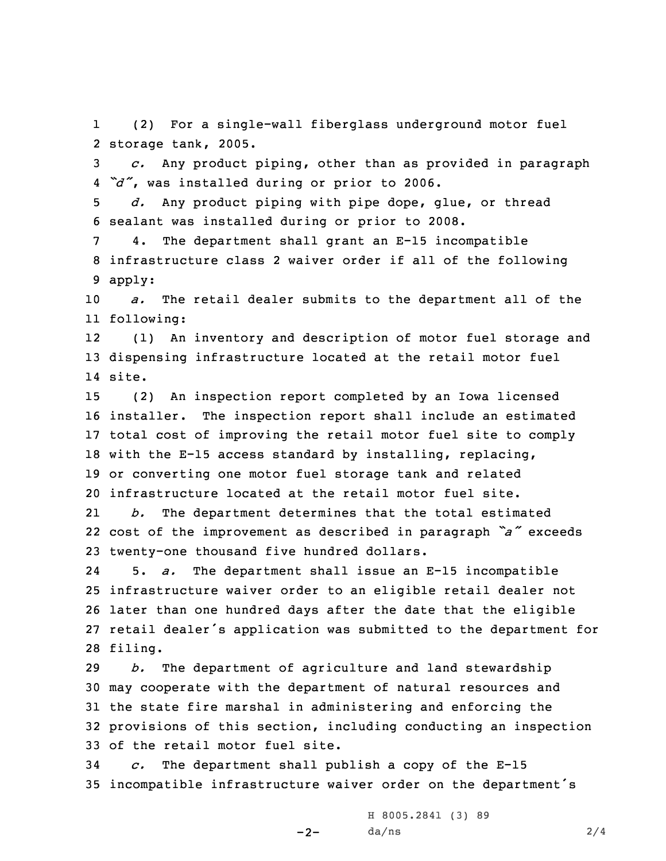1 (2) For <sup>a</sup> single-wall fiberglass underground motor fuel 2 storage tank, 2005.

3 *c.* Any product piping, other than as provided in paragraph 4 *"d"*, was installed during or prior to 2006.

5 *d.* Any product piping with pipe dope, glue, or thread 6 sealant was installed during or prior to 2008.

7 4. The department shall grant an E-15 incompatible 8 infrastructure class 2 waiver order if all of the following 9 apply:

10 *a.* The retail dealer submits to the department all of the 11 following:

12 (1) An inventory and description of motor fuel storage and 13 dispensing infrastructure located at the retail motor fuel 14 site.

 (2) An inspection report completed by an Iowa licensed installer. The inspection report shall include an estimated total cost of improving the retail motor fuel site to comply with the E-15 access standard by installing, replacing, or converting one motor fuel storage tank and related infrastructure located at the retail motor fuel site.

21 *b.* The department determines that the total estimated 22 cost of the improvement as described in paragraph *"a"* exceeds 23 twenty-one thousand five hundred dollars.

24 5. *a.* The department shall issue an E-15 incompatible 25 infrastructure waiver order to an eligible retail dealer not 26 later than one hundred days after the date that the eligible 27 retail dealer's application was submitted to the department for 28 filing.

 *b.* The department of agriculture and land stewardship may cooperate with the department of natural resources and the state fire marshal in administering and enforcing the provisions of this section, including conducting an inspection of the retail motor fuel site.

34 *c.* The department shall publish <sup>a</sup> copy of the E-15 <sup>35</sup> incompatible infrastructure waiver order on the department's

-2-

H 8005.2841 (3) 89  $da/ns$  2/4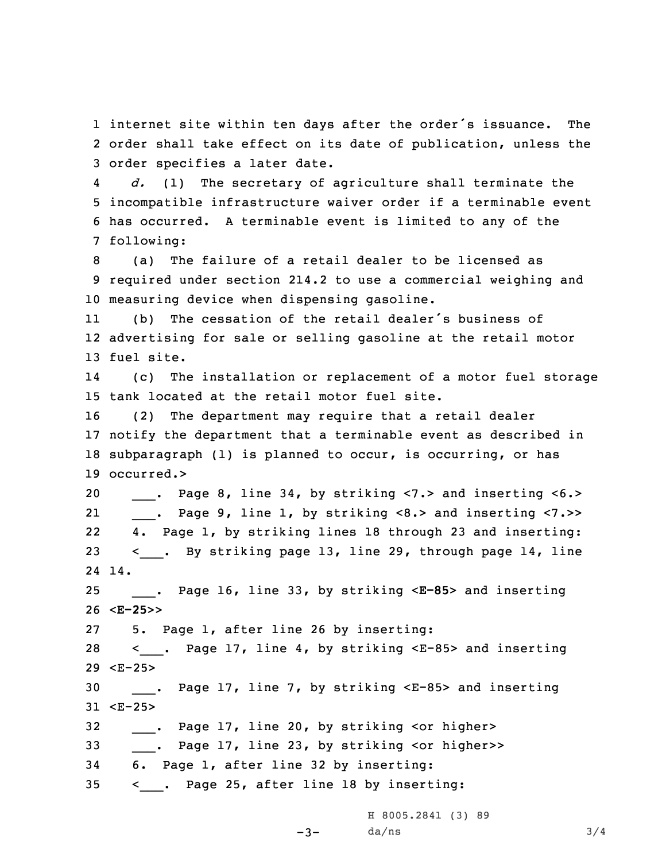1 internet site within ten days after the order's issuance. The 2 order shall take effect on its date of publication, unless the 3 order specifies <sup>a</sup> later date.

4 *d.* (1) The secretary of agriculture shall terminate the 5 incompatible infrastructure waiver order if <sup>a</sup> terminable event 6 has occurred. <sup>A</sup> terminable event is limited to any of the 7 following:

8 (a) The failure of <sup>a</sup> retail dealer to be licensed as 9 required under section 214.2 to use <sup>a</sup> commercial weighing and 10 measuring device when dispensing gasoline.

11 (b) The cessation of the retail dealer's business of 12 advertising for sale or selling gasoline at the retail motor 13 fuel site.

14 (c) The installation or replacement of <sup>a</sup> motor fuel storage 15 tank located at the retail motor fuel site.

 (2) The department may require that <sup>a</sup> retail dealer notify the department that <sup>a</sup> terminable event as described in subparagraph (1) is planned to occur, is occurring, or has occurred.>

20 \_\_\_. Page 8, line 34, by striking <7.> and inserting <6.> 21 \_\_\_. Page 9, line 1, by striking <8.> and inserting <7.>> 22 4. Page 1, by striking lines 18 through 23 and inserting: 23 < . By striking page 13, line 29, through page 14, line 24 14.

25 \_\_\_. Page 16, line 33, by striking <sup>&</sup>lt;**E-85**<sup>&</sup>gt; and inserting 26 <sup>&</sup>lt;**E-25**>>

27 5. Page 1, after line 26 by inserting:

28 < . Page 17, line 4, by striking <E-85> and inserting 29 <E-25>

30 . Page 17, line 7, by striking <E-85> and inserting 31 <E-25>

 $-3-$ 

32 \_\_\_. Page 17, line 20, by striking <or higher>

33 . Page 17, line 23, by striking <or higher>>

34 6. Page 1, after line 32 by inserting:

35 < . Page 25, after line 18 by inserting:

H 8005.2841 (3) 89  $da/ns$  3/4